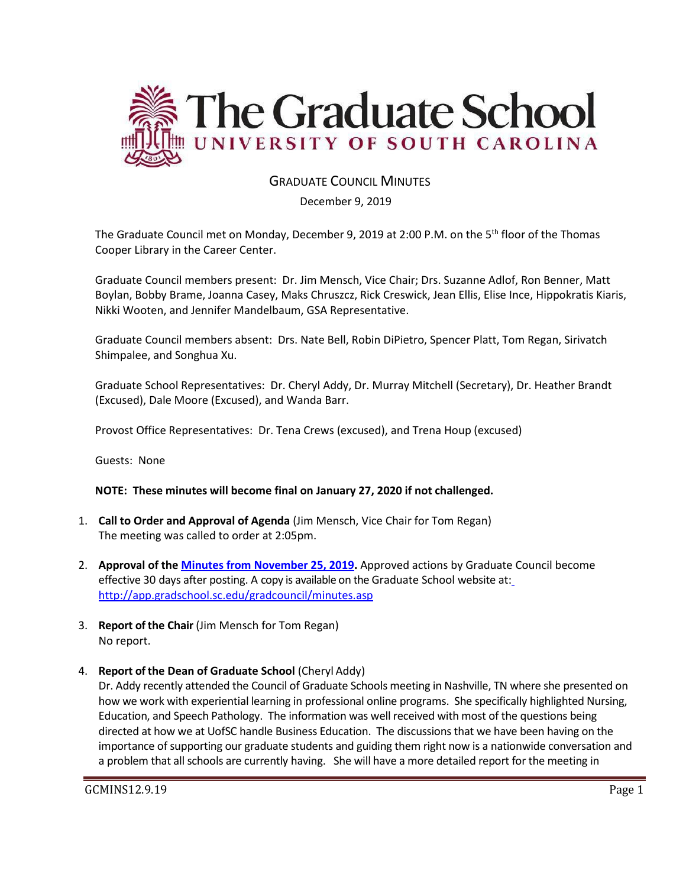

# GRADUATE COUNCIL MINUTES

December 9, 2019

The Graduate Council met on Monday, December 9, 2019 at 2:00 P.M. on the 5<sup>th</sup> floor of the Thomas Cooper Library in the Career Center.

Graduate Council members present: Dr. Jim Mensch, Vice Chair; Drs. Suzanne Adlof, Ron Benner, Matt Boylan, Bobby Brame, Joanna Casey, Maks Chruszcz, Rick Creswick, Jean Ellis, Elise Ince, Hippokratis Kiaris, Nikki Wooten, and Jennifer Mandelbaum, GSA Representative.

Graduate Council members absent: Drs. Nate Bell, Robin DiPietro, Spencer Platt, Tom Regan, Sirivatch Shimpalee, and Songhua Xu.

Graduate School Representatives: Dr. Cheryl Addy, Dr. Murray Mitchell (Secretary), Dr. Heather Brandt (Excused), Dale Moore (Excused), and Wanda Barr.

Provost Office Representatives: Dr. Tena Crews (excused), and Trena Houp (excused)

Guests: None

#### **NOTE: These minutes will become final on January 27, 2020 if not challenged.**

- 1. **Call to Order and Approval of Agenda** (Jim Mensch, Vice Chair for Tom Regan) The meeting was called to order at 2:05pm.
- 2. **Approval of the [Minutes from November 25, 2019.](file:///C:/Users/wandab/AppData/Local/Microsoft/Windows/INetCache/Content.Outlook/43K4JUJC/GCMINUTESNOV252019MM.pdf)** Approved actions by Graduate Council become effective 30 days after posting. A copy is available on the Graduate School website at[:](http://app.gradschool.sc.edu/gradcouncil/minutes.asp) <http://app.gradschool.sc.edu/gradcouncil/minutes.asp>
- 3. **Report of the Chair** (Jim Mensch for Tom Regan) No report.
- 4. **Report of the Dean of Graduate School** (Cheryl Addy)

Dr. Addy recently attended the Council of Graduate Schools meeting in Nashville, TN where she presented on how we work with experiential learning in professional online programs. She specifically highlighted Nursing, Education, and Speech Pathology. The information was well received with most of the questions being directed at how we at UofSC handle Business Education. The discussions that we have been having on the importance of supporting our graduate students and guiding them right now is a nationwide conversation and a problem that all schools are currently having. She will have a more detailed report for the meeting in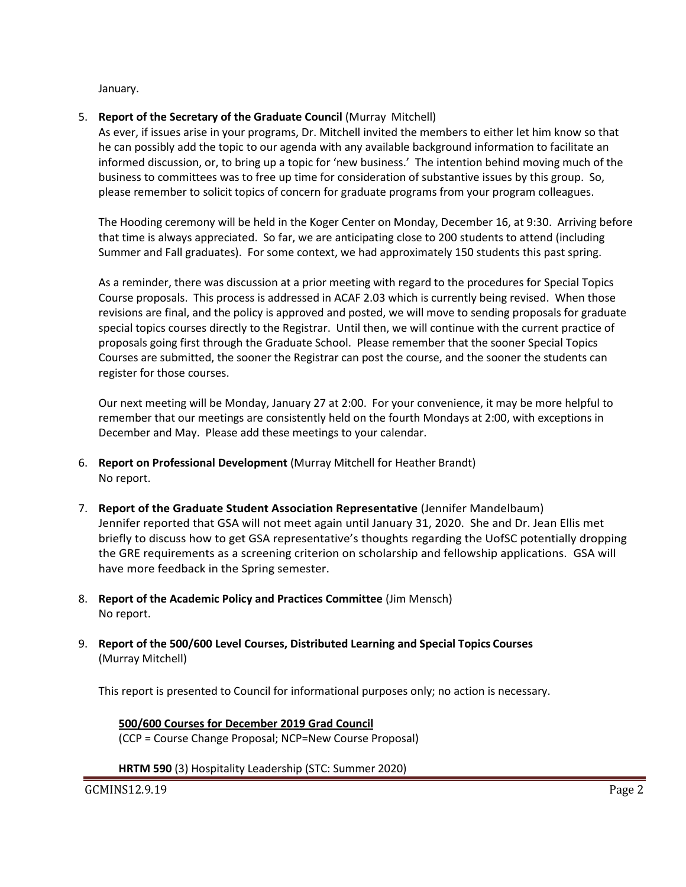January.

## 5. **Report of the Secretary of the Graduate Council** (Murray Mitchell)

As ever, if issues arise in your programs, Dr. Mitchell invited the members to either let him know so that he can possibly add the topic to our agenda with any available background information to facilitate an informed discussion, or, to bring up a topic for 'new business.' The intention behind moving much of the business to committees was to free up time for consideration of substantive issues by this group. So, please remember to solicit topics of concern for graduate programs from your program colleagues.

The Hooding ceremony will be held in the Koger Center on Monday, December 16, at 9:30. Arriving before that time is always appreciated. So far, we are anticipating close to 200 students to attend (including Summer and Fall graduates). For some context, we had approximately 150 students this past spring.

As a reminder, there was discussion at a prior meeting with regard to the procedures for Special Topics Course proposals. This process is addressed in ACAF 2.03 which is currently being revised. When those revisions are final, and the policy is approved and posted, we will move to sending proposals for graduate special topics courses directly to the Registrar. Until then, we will continue with the current practice of proposals going first through the Graduate School. Please remember that the sooner Special Topics Courses are submitted, the sooner the Registrar can post the course, and the sooner the students can register for those courses.

Our next meeting will be Monday, January 27 at 2:00. For your convenience, it may be more helpful to remember that our meetings are consistently held on the fourth Mondays at 2:00, with exceptions in December and May. Please add these meetings to your calendar.

- 6. **Report on Professional Development** (Murray Mitchell for Heather Brandt) No report.
- 7. **Report of the Graduate Student Association Representative** (Jennifer Mandelbaum) Jennifer reported that GSA will not meet again until January 31, 2020. She and Dr. Jean Ellis met briefly to discuss how to get GSA representative's thoughts regarding the UofSC potentially dropping the GRE requirements as a screening criterion on scholarship and fellowship applications. GSA will have more feedback in the Spring semester.
- 8. **Report of the Academic Policy and Practices Committee** (Jim Mensch) No report.
- 9. **Report of the 500/600 Level Courses, Distributed Learning and Special Topics Courses** (Murray Mitchell)

This report is presented to Council for informational purposes only; no action is necessary.

**500/600 Courses for December 2019 Grad Council** (CCP = Course Change Proposal; NCP=New Course Proposal)

**HRTM 590** (3) Hospitality Leadership (STC: Summer 2020)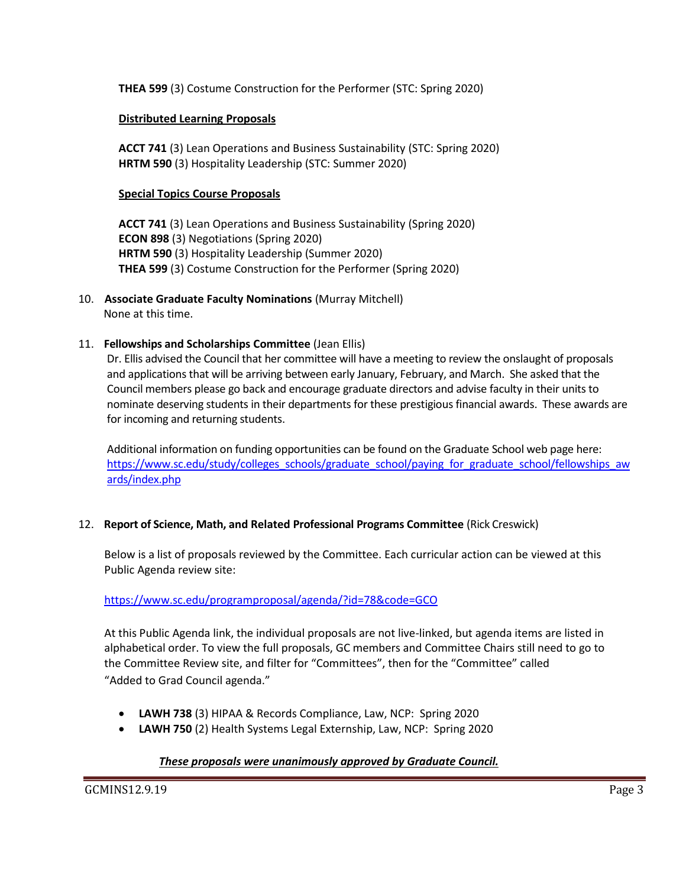**THEA 599** (3) Costume Construction for the Performer (STC: Spring 2020)

#### **Distributed Learning Proposals**

**ACCT 741** (3) Lean Operations and Business Sustainability (STC: Spring 2020) **HRTM 590** (3) Hospitality Leadership (STC: Summer 2020)

#### **Special Topics Course Proposals**

**ACCT 741** (3) Lean Operations and Business Sustainability (Spring 2020) **ECON 898** (3) Negotiations (Spring 2020) **HRTM 590** (3) Hospitality Leadership (Summer 2020) **THEA 599** (3) Costume Construction for the Performer (Spring 2020)

- 10. **Associate Graduate Faculty Nominations** (Murray Mitchell) None at this time.
- 11. **Fellowships and Scholarships Committee** (Jean Ellis)

Dr. Ellis advised the Council that her committee will have a meeting to review the onslaught of proposals and applications that will be arriving between early January, February, and March. She asked that the Council members please go back and encourage graduate directors and advise faculty in their units to nominate deserving students in their departments for these prestigious financial awards. These awards are for incoming and returning students.

Additional information on funding opportunities can be found on the Graduate School web page here: [https://www.sc.edu/study/colleges\\_schools/graduate\\_school/paying\\_for\\_graduate\\_school/fellowships\\_aw](https://www.sc.edu/study/colleges_schools/graduate_school/paying_for_graduate_school/fellowships_awards/index.php) [ards/index.php](https://www.sc.edu/study/colleges_schools/graduate_school/paying_for_graduate_school/fellowships_awards/index.php)

#### 12. **Report of Science, Math, and Related Professional Programs Committee** (Rick Creswick)

Below is a list of proposals reviewed by the Committee. Each curricular action can be viewed at this Public Agenda review site:

## <https://www.sc.edu/programproposal/agenda/?id=78&code=GCO>

At this Public Agenda link, the individual proposals are not live-linked, but agenda items are listed in alphabetical order. To view the full proposals, GC members and Committee Chairs still need to go to the Committee Review site, and filter for "Committees", then for the "Committee" called "Added to Grad Council agenda."

- **LAWH 738** (3) HIPAA & Records Compliance, Law, NCP: Spring 2020
- **LAWH 750** (2) Health Systems Legal Externship, Law, NCP: Spring 2020

## *These proposals were unanimously approved by Graduate Council.*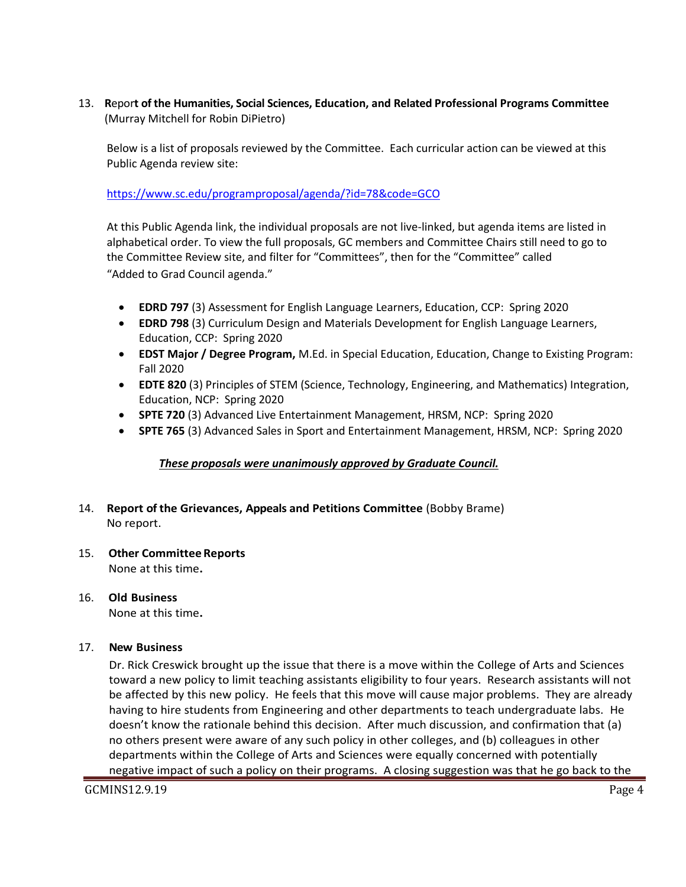13. **R**epor**t of the Humanities, Social Sciences, Education, and Related Professional Programs Committee**  (Murray Mitchell for Robin DiPietro)

Below is a list of proposals reviewed by the Committee. Each curricular action can be viewed at this Public Agenda review site:

<https://www.sc.edu/programproposal/agenda/?id=78&code=GCO>

At this Public Agenda link, the individual proposals are not live-linked, but agenda items are listed in alphabetical order. To view the full proposals, GC members and Committee Chairs still need to go to the Committee Review site, and filter for "Committees", then for the "Committee" called "Added to Grad Council agenda."

- **EDRD 797** (3) Assessment for English Language Learners, Education, CCP: Spring 2020
- **EDRD 798** (3) Curriculum Design and Materials Development for English Language Learners, Education, CCP: Spring 2020
- **EDST Major / Degree Program,** M.Ed. in Special Education, Education, Change to Existing Program: Fall 2020
- **EDTE 820** (3) Principles of STEM (Science, Technology, Engineering, and Mathematics) Integration, Education, NCP: Spring 2020
- **SPTE 720** (3) Advanced Live Entertainment Management, HRSM, NCP: Spring 2020
- **SPTE 765** (3) Advanced Sales in Sport and Entertainment Management, HRSM, NCP: Spring 2020

## *These proposals were unanimously approved by Graduate Council.*

- 14. **Report of the Grievances, Appeals and Petitions Committee** (Bobby Brame) No report.
- 15. **Other Committee Reports** None at this time**.**

# 16. **Old Business**

None at this time**.**

## 17. **New Business**

Dr. Rick Creswick brought up the issue that there is a move within the College of Arts and Sciences toward a new policy to limit teaching assistants eligibility to four years. Research assistants will not be affected by this new policy. He feels that this move will cause major problems. They are already having to hire students from Engineering and other departments to teach undergraduate labs. He doesn't know the rationale behind this decision. After much discussion, and confirmation that (a) no others present were aware of any such policy in other colleges, and (b) colleagues in other departments within the College of Arts and Sciences were equally concerned with potentially negative impact of such a policy on their programs. A closing suggestion was that he go back to the